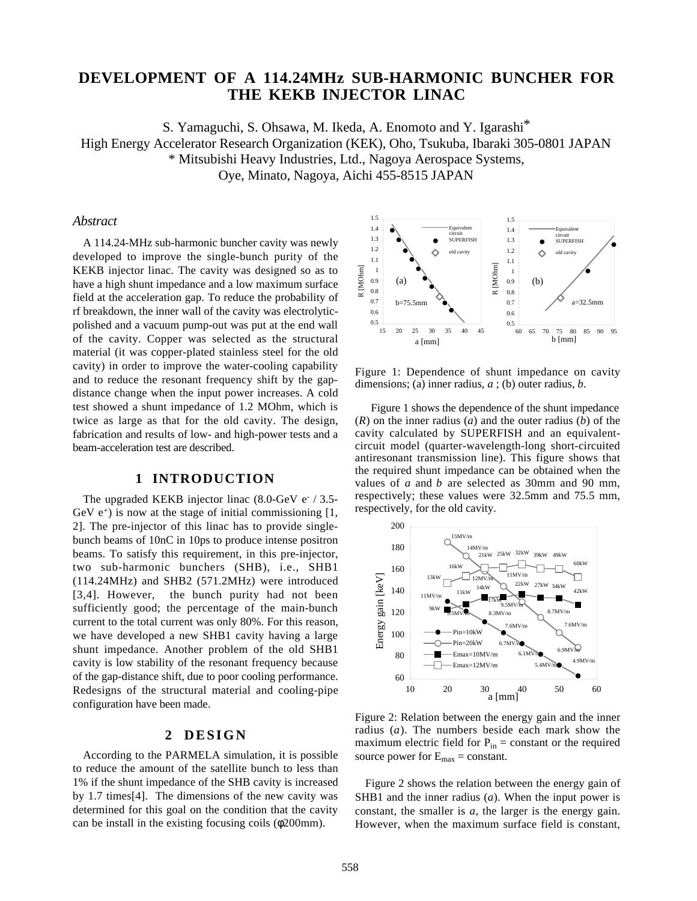# **DEVELOPMENT OF A 114.24MHz SUB-HARMONIC BUNCHER FOR THE KEKB INJECTOR LINAC**

S. Yamaguchi, S. Ohsawa, M. Ikeda, A. Enomoto and Y. Igarashi\* High Energy Accelerator Research Organization (KEK), Oho, Tsukuba, Ibaraki 305-0801 JAPAN \* Mitsubishi Heavy Industries, Ltd., Nagoya Aerospace Systems, Oye, Minato, Nagoya, Aichi 455-8515 JAPAN

#### *Abstract*

A 114.24-MHz sub-harmonic buncher cavity was newly developed to improve the single-bunch purity of the KEKB injector linac. The cavity was designed so as to have a high shunt impedance and a low maximum surface field at the acceleration gap. To reduce the probability of rf breakdown, the inner wall of the cavity was electrolyticpolished and a vacuum pump-out was put at the end wall of the cavity. Copper was selected as the structural material (it was copper-plated stainless steel for the old cavity) in order to improve the water-cooling capability and to reduce the resonant frequency shift by the gapdistance change when the input power increases. A cold test showed a shunt impedance of 1.2 MOhm, which is twice as large as that for the old cavity. The design, fabrication and results of low- and high-power tests and a beam-acceleration test are described.

#### **1 INTRODUCTION**

The upgraded KEKB injector linac  $(8.0\text{-GeV}$  e<sup>-</sup>  $/3.5\text{-}$ GeV  $e^+$ ) is now at the stage of initial commissioning [1, 2]. The pre-injector of this linac has to provide singlebunch beams of 10nC in 10ps to produce intense positron beams. To satisfy this requirement, in this pre-injector, two sub-harmonic bunchers (SHB), i.e., SHB1 (114.24MHz) and SHB2 (571.2MHz) were introduced [3,4]. However, the bunch purity had not been sufficiently good; the percentage of the main-bunch current to the total current was only 80%. For this reason, we have developed a new SHB1 cavity having a large shunt impedance. Another problem of the old SHB1 cavity is low stability of the resonant frequency because of the gap-distance shift, due to poor cooling performance. Redesigns of the structural material and cooling-pipe configuration have been made.

### **2 DESIGN**

According to the PARMELA simulation, it is possible to reduce the amount of the satellite bunch to less than 1% if the shunt impedance of the SHB cavity is increased by 1.7 times[4]. The dimensions of the new cavity was determined for this goal on the condition that the cavity can be install in the existing focusing coils (φ200mm).



Figure 1: Dependence of shunt impedance on cavity dimensions; (a) inner radius, *a* ; (b) outer radius, *b*.

Figure 1 shows the dependence of the shunt impedance (*R*) on the inner radius (*a*) and the outer radius (*b*) of the cavity calculated by SUPERFISH and an equivalentcircuit model (quarter-wavelength-long short-circuited antiresonant transmission line). This figure shows that the required shunt impedance can be obtained when the values of *a* and *b* are selected as 30mm and 90 mm, respectively; these values were 32.5mm and 75.5 mm, respectively, for the old cavity.



Figure 2: Relation between the energy gain and the inner radius (*a*). The numbers beside each mark show the maximum electric field for  $P_{in}$  = constant or the required source power for  $E_{\text{max}} = \text{constant}$ .

Figure 2 shows the relation between the energy gain of SHB1 and the inner radius (*a*). When the input power is constant, the smaller is *a*, the larger is the energy gain. However, when the maximum surface field is constant,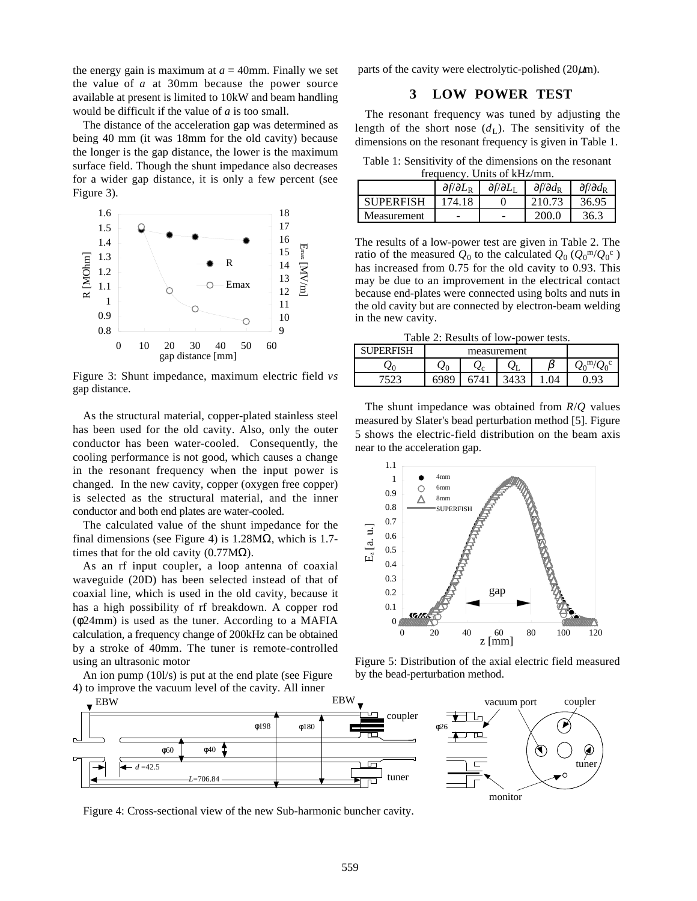the energy gain is maximum at  $a = 40$ mm. Finally we set the value of *a* at 30mm because the power source available at present is limited to 10kW and beam handling would be difficult if the value of *a* is too small.

The distance of the acceleration gap was determined as being 40 mm (it was 18mm for the old cavity) because the longer is the gap distance, the lower is the maximum surface field. Though the shunt impedance also decreases for a wider gap distance, it is only a few percent (see Figure 3).



Figure 3: Shunt impedance, maximum electric field *vs* gap distance.

As the structural material, copper-plated stainless steel has been used for the old cavity. Also, only the outer conductor has been water-cooled. Consequently, the cooling performance is not good, which causes a change in the resonant frequency when the input power is changed. In the new cavity, copper (oxygen free copper) is selected as the structural material, and the inner conductor and both end plates are water-cooled.

The calculated value of the shunt impedance for the final dimensions (see Figure 4) is  $1.28M\Omega$ , which is 1.7times that for the old cavity  $(0.77M\Omega)$ .

As an rf input coupler, a loop antenna of coaxial waveguide (20D) has been selected instead of that of coaxial line, which is used in the old cavity, because it has a high possibility of rf breakdown. A copper rod (φ24mm) is used as the tuner. According to a MAFIA calculation, a frequency change of 200kHz can be obtained by a stroke of 40mm. The tuner is remote-controlled using an ultrasonic motor

An ion pump (10l/s) is put at the end plate (see Figure 4) to improve the vacuum level of the cavity. All inner

parts of the cavity were electrolytic-polished  $(20\mu m)$ .

### **3 LOW POWER TEST**

The resonant frequency was tuned by adjusting the length of the short nose  $(d<sub>L</sub>)$ . The sensitivity of the dimensions on the resonant frequency is given in Table 1.

Table 1: Sensitivity of the dimensions on the resonant frequency. Units of kHz/mm.

| $n_{\rm U}$ and $n_{\rm V}$ , $n_{\rm H}$ and $n_{\rm V}$ and $n_{\rm H}$ |                                      |                                 |                               |                               |  |  |  |  |
|---------------------------------------------------------------------------|--------------------------------------|---------------------------------|-------------------------------|-------------------------------|--|--|--|--|
|                                                                           | $\partial f/\partial L_{\mathbf{R}}$ | $\partial f/\partial L_{\rm I}$ | $\partial f / \partial d_{R}$ | $\partial f / \partial d_{R}$ |  |  |  |  |
| <b>SUPERFISH</b>                                                          | 174.18                               |                                 | 210.73                        | 36.95                         |  |  |  |  |
| Measurement                                                               |                                      | -                               | 200.0                         | 36.3                          |  |  |  |  |

The results of a low-power test are given in Table 2. The ratio of the measured  $Q_0$  to the calculated  $Q_0$  ( $Q_0^{\text{m}}/Q_0^{\text{c}}$  ) has increased from 0.75 for the old cavity to 0.93. This may be due to an improvement in the electrical contact because end-plates were connected using bolts and nuts in the old cavity but are connected by electron-beam welding in the new cavity.

Table 2: Results of low-power tests.

| <b>IPERFISH</b> |  |        |    |  |  |
|-----------------|--|--------|----|--|--|
|                 |  | $\sim$ | ΥL |  |  |
|                 |  |        |    |  |  |

The shunt impedance was obtained from *R*/*Q* values measured by Slater's bead perturbation method [5]. Figure 5 shows the electric-field distribution on the beam axis near to the acceleration gap.



Figure 5: Distribution of the axial electric field measured by the bead-perturbation method.



Figure 4: Cross-sectional view of the new Sub-harmonic buncher cavity.